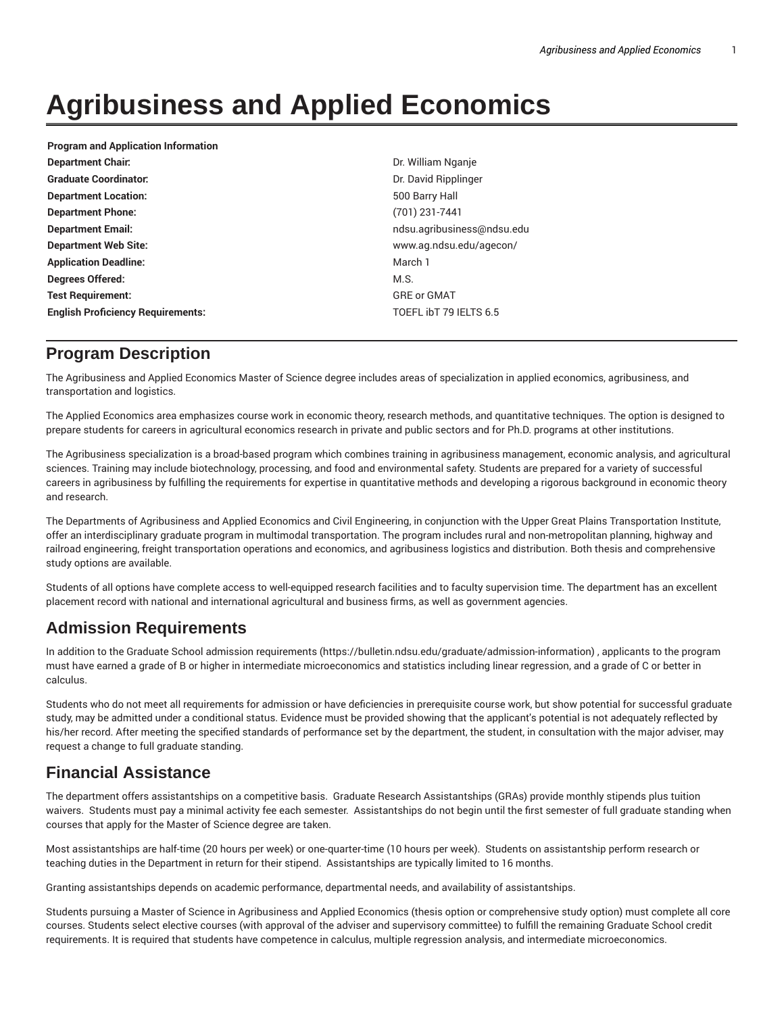# **Agribusiness and Applied Economics**

| <b>Program and Application Information</b> |                            |
|--------------------------------------------|----------------------------|
| <b>Department Chair.</b>                   | Dr. William Nganje         |
| <b>Graduate Coordinator:</b>               | Dr. David Ripplinger       |
| <b>Department Location:</b>                | 500 Barry Hall             |
| <b>Department Phone:</b>                   | $(701)$ 231-7441           |
| <b>Department Email:</b>                   | ndsu.agribusiness@ndsu.edu |
| <b>Department Web Site:</b>                | www.ag.ndsu.edu/agecon/    |
| <b>Application Deadline:</b>               | March 1                    |
| Degrees Offered:                           | M.S.                       |
| <b>Test Requirement:</b>                   | <b>GRE or GMAT</b>         |
| <b>English Proficiency Requirements:</b>   | TOEFL IbT 79 IELTS 6.5     |
|                                            |                            |

### **Program Description**

The Agribusiness and Applied Economics Master of Science degree includes areas of specialization in applied economics, agribusiness, and transportation and logistics.

The Applied Economics area emphasizes course work in economic theory, research methods, and quantitative techniques. The option is designed to prepare students for careers in agricultural economics research in private and public sectors and for Ph.D. programs at other institutions.

The Agribusiness specialization is a broad-based program which combines training in agribusiness management, economic analysis, and agricultural sciences. Training may include biotechnology, processing, and food and environmental safety. Students are prepared for a variety of successful careers in agribusiness by fulfilling the requirements for expertise in quantitative methods and developing a rigorous background in economic theory and research.

The Departments of Agribusiness and Applied Economics and Civil Engineering, in conjunction with the Upper Great Plains Transportation Institute, offer an interdisciplinary graduate program in multimodal transportation. The program includes rural and non-metropolitan planning, highway and railroad engineering, freight transportation operations and economics, and agribusiness logistics and distribution. Both thesis and comprehensive study options are available.

Students of all options have complete access to well-equipped research facilities and to faculty supervision time. The department has an excellent placement record with national and international agricultural and business firms, as well as government agencies.

# **Admission Requirements**

In addition to the Graduate School admission requirements (https://bulletin.ndsu.edu/graduate/admission-information) , applicants to the program must have earned a grade of B or higher in intermediate microeconomics and statistics including linear regression, and a grade of C or better in calculus.

Students who do not meet all requirements for admission or have deficiencies in prerequisite course work, but show potential for successful graduate study, may be admitted under a conditional status. Evidence must be provided showing that the applicant's potential is not adequately reflected by his/her record. After meeting the specified standards of performance set by the department, the student, in consultation with the major adviser, may request a change to full graduate standing.

### **Financial Assistance**

The department offers assistantships on a competitive basis. Graduate Research Assistantships (GRAs) provide monthly stipends plus tuition waivers. Students must pay a minimal activity fee each semester. Assistantships do not begin until the first semester of full graduate standing when courses that apply for the Master of Science degree are taken.

Most assistantships are half-time (20 hours per week) or one-quarter-time (10 hours per week). Students on assistantship perform research or teaching duties in the Department in return for their stipend. Assistantships are typically limited to 16 months.

Granting assistantships depends on academic performance, departmental needs, and availability of assistantships.

Students pursuing a Master of Science in Agribusiness and Applied Economics (thesis option or comprehensive study option) must complete all core courses. Students select elective courses (with approval of the adviser and supervisory committee) to fulfill the remaining Graduate School credit requirements. It is required that students have competence in calculus, multiple regression analysis, and intermediate microeconomics.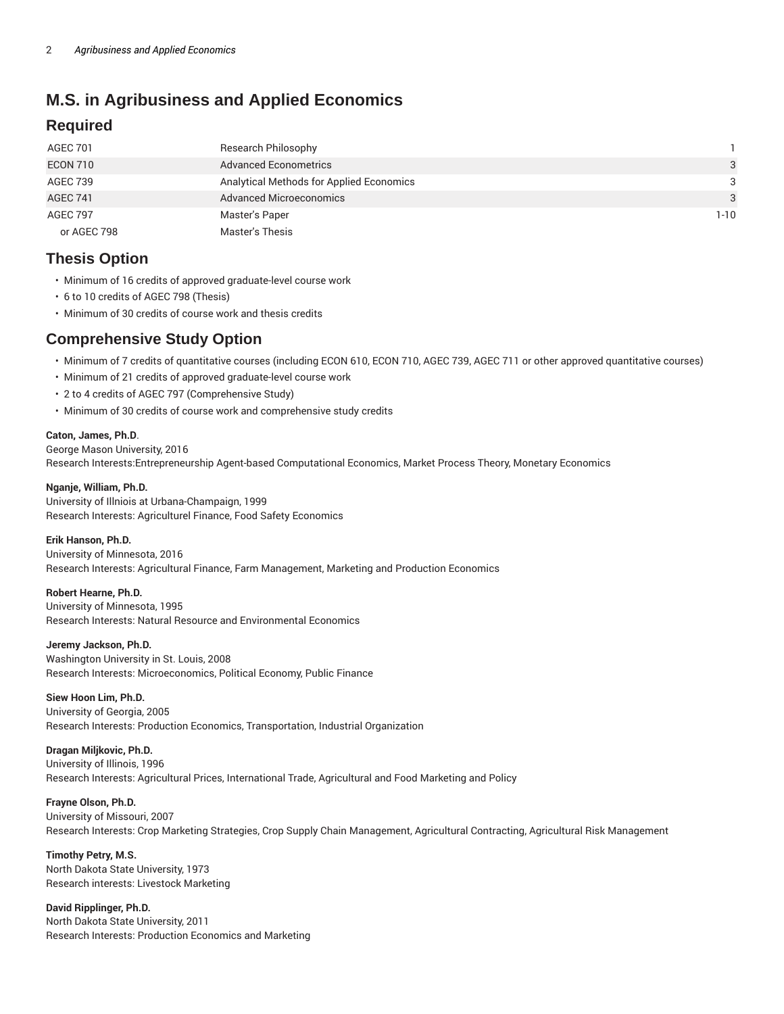# **M.S. in Agribusiness and Applied Economics**

### **Required**

| <b>AGEC 701</b> | Research Philosophy                      |              |
|-----------------|------------------------------------------|--------------|
| ECON 710        | <b>Advanced Econometrics</b>             | $\mathbf{3}$ |
| AGEC 739        | Analytical Methods for Applied Economics | 3            |
| <b>AGEC 741</b> | <b>Advanced Microeconomics</b>           | $\mathbf{3}$ |
| <b>AGEC 797</b> | Master's Paper                           | $1 - 10$     |
| or AGEC 798     | Master's Thesis                          |              |

### **Thesis Option**

- Minimum of 16 credits of approved graduate-level course work
- 6 to 10 credits of AGEC 798 (Thesis)
- Minimum of 30 credits of course work and thesis credits

### **Comprehensive Study Option**

- Minimum of 7 credits of quantitative courses (including ECON 610, ECON 710, AGEC 739, AGEC 711 or other approved quantitative courses)
- Minimum of 21 credits of approved graduate-level course work
- 2 to 4 credits of AGEC 797 (Comprehensive Study)
- Minimum of 30 credits of course work and comprehensive study credits

#### **Caton, James, Ph.D**.

George Mason University, 2016 Research Interests:Entrepreneurship Agent-based Computational Economics, Market Process Theory, Monetary Economics

#### **Nganje, William, Ph.D.**

University of Illniois at Urbana-Champaign, 1999 Research Interests: Agriculturel Finance, Food Safety Economics

#### **Erik Hanson, Ph.D.**

University of Minnesota, 2016 Research Interests: Agricultural Finance, Farm Management, Marketing and Production Economics

#### **Robert Hearne, Ph.D.**

University of Minnesota, 1995 Research Interests: Natural Resource and Environmental Economics

**Jeremy Jackson, Ph.D.** Washington University in St. Louis, 2008 Research Interests: Microeconomics, Political Economy, Public Finance

#### **Siew Hoon Lim, Ph.D.**

University of Georgia, 2005 Research Interests: Production Economics, Transportation, Industrial Organization

#### **Dragan Miljkovic, Ph.D.**

University of Illinois, 1996 Research Interests: Agricultural Prices, International Trade, Agricultural and Food Marketing and Policy

#### **Frayne Olson, Ph.D.**

University of Missouri, 2007

Research Interests: Crop Marketing Strategies, Crop Supply Chain Management, Agricultural Contracting, Agricultural Risk Management

**Timothy Petry, M.S.** North Dakota State University, 1973 Research interests: Livestock Marketing

#### **David Ripplinger, Ph.D.**

North Dakota State University, 2011 Research Interests: Production Economics and Marketing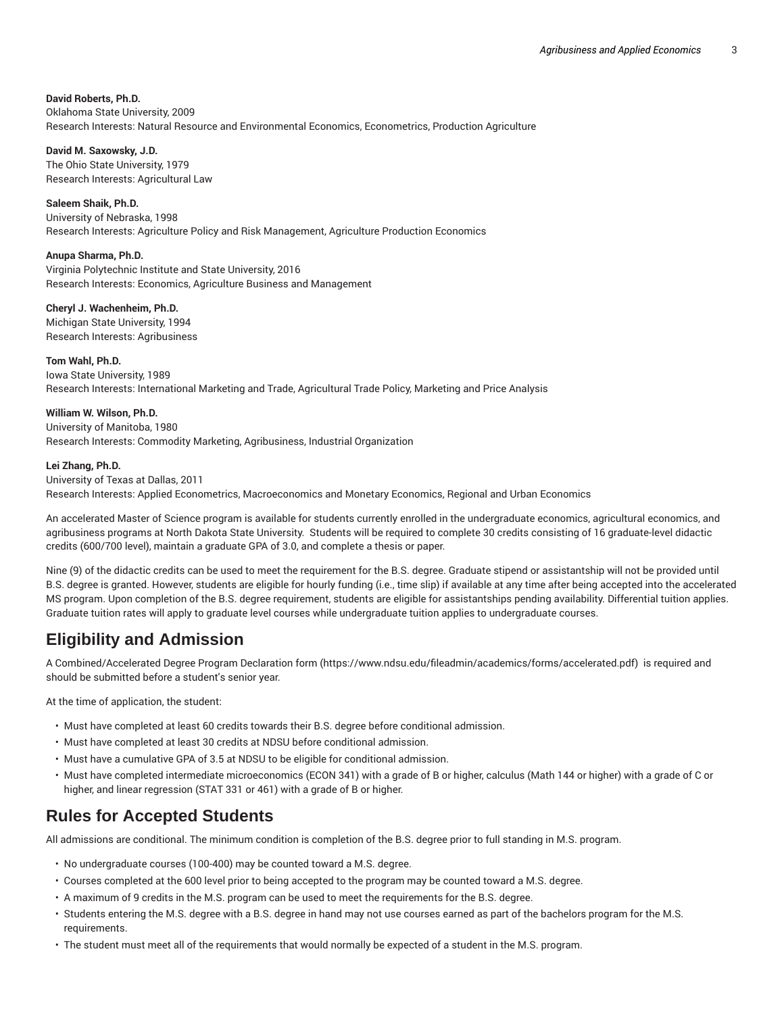#### **David Roberts, Ph.D.**

Oklahoma State University, 2009 Research Interests: Natural Resource and Environmental Economics, Econometrics, Production Agriculture

**David M. Saxowsky, J.D.**

The Ohio State University, 1979 Research Interests: Agricultural Law

**Saleem Shaik, Ph.D.** University of Nebraska, 1998 Research Interests: Agriculture Policy and Risk Management, Agriculture Production Economics

**Anupa Sharma, Ph.D.** Virginia Polytechnic Institute and State University, 2016 Research Interests: Economics, Agriculture Business and Management

**Cheryl J. Wachenheim, Ph.D.** Michigan State University, 1994 Research Interests: Agribusiness

**Tom Wahl, Ph.D.** Iowa State University, 1989 Research Interests: International Marketing and Trade, Agricultural Trade Policy, Marketing and Price Analysis

**William W. Wilson, Ph.D.** University of Manitoba, 1980 Research Interests: Commodity Marketing, Agribusiness, Industrial Organization

#### **Lei Zhang, Ph.D.**

#### University of Texas at Dallas, 2011

Research Interests: Applied Econometrics, Macroeconomics and Monetary Economics, Regional and Urban Economics

An accelerated Master of Science program is available for students currently enrolled in the undergraduate economics, agricultural economics, and agribusiness programs at North Dakota State University. Students will be required to complete 30 credits consisting of 16 graduate-level didactic credits (600/700 level), maintain a graduate GPA of 3.0, and complete a thesis or paper.

Nine (9) of the didactic credits can be used to meet the requirement for the B.S. degree. Graduate stipend or assistantship will not be provided until B.S. degree is granted. However, students are eligible for hourly funding (i.e., time slip) if available at any time after being accepted into the accelerated MS program. Upon completion of the B.S. degree requirement, students are eligible for assistantships pending availability. Differential tuition applies. Graduate tuition rates will apply to graduate level courses while undergraduate tuition applies to undergraduate courses.

### **Eligibility and Admission**

A Combined/Accelerated Degree Program Declaration form (https://www.ndsu.edu/fileadmin/academics/forms/accelerated.pdf) is required and should be submitted before a student's senior year.

At the time of application, the student:

- Must have completed at least 60 credits towards their B.S. degree before conditional admission.
- Must have completed at least 30 credits at NDSU before conditional admission.
- Must have a cumulative GPA of 3.5 at NDSU to be eligible for conditional admission.
- Must have completed intermediate microeconomics (ECON 341) with a grade of B or higher, calculus (Math 144 or higher) with a grade of C or higher, and linear regression (STAT 331 or 461) with a grade of B or higher.

# **Rules for Accepted Students**

All admissions are conditional. The minimum condition is completion of the B.S. degree prior to full standing in M.S. program.

- No undergraduate courses (100-400) may be counted toward a M.S. degree.
- Courses completed at the 600 level prior to being accepted to the program may be counted toward a M.S. degree.
- A maximum of 9 credits in the M.S. program can be used to meet the requirements for the B.S. degree.
- Students entering the M.S. degree with a B.S. degree in hand may not use courses earned as part of the bachelors program for the M.S. requirements.
- The student must meet all of the requirements that would normally be expected of a student in the M.S. program.